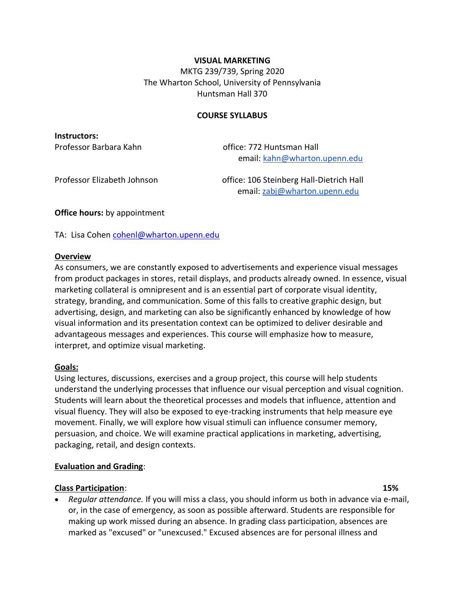#### **VISUAL MARKETING**

MKTG 239/739, Spring 2020 The Wharton School, University of Pennsylvania Huntsman Hall 370

#### **COURSE SYLLABUS**

**Instructors:** 

Professor Barbara Kahn **bereng ang terman di Professor Barbara** Kahn email: [kahn@wharton.upenn.edu](mailto:kahn@wharton.upenn.edu)

Professor Elizabeth Johnson office: 106 Steinberg Hall-Dietrich Hall email: [zabj@wharton.upenn.edu](mailto:zabj@wharton.upenn.edu)

**Office hours:** by appointment

TA: Lisa Cohen [cohenl@wharton.upenn.edu](mailto:cohenl@wharton.upenn.edu)

#### **Overview**

As consumers, we are constantly exposed to advertisements and experience visual messages from product packages in stores, retail displays, and products already owned. In essence, visual marketing collateral is omnipresent and is an essential part of corporate visual identity, strategy, branding, and communication. Some of this falls to creative graphic design, but advertising, design, and marketing can also be significantly enhanced by knowledge of how visual information and its presentation context can be optimized to deliver desirable and advantageous messages and experiences. This course will emphasize how to measure, interpret, and optimize visual marketing.

#### **Goals:**

Using lectures, discussions, exercises and a group project, this course will help students understand the underlying processes that influence our visual perception and visual cognition. Students will learn about the theoretical processes and models that influence, attention and visual fluency. They will also be exposed to eye-tracking instruments that help measure eye movement. Finally, we will explore how visual stimuli can influence consumer memory, persuasion, and choice. We will examine practical applications in marketing, advertising, packaging, retail, and design contexts.

#### **Evaluation and Grading**:

#### **Class Participation**: **15%**

• *Regular attendance.* If you will miss a class, you should inform us both in advance via e-mail, or, in the case of emergency, as soon as possible afterward. Students are responsible for making up work missed during an absence. In grading class participation, absences are marked as "excused" or "unexcused." Excused absences are for personal illness and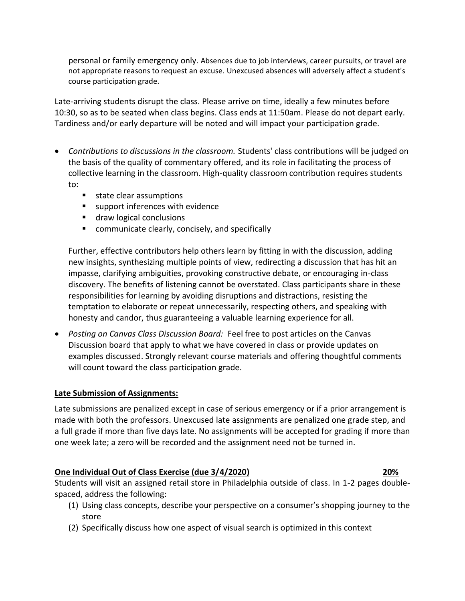personal or family emergency only. Absences due to job interviews, career pursuits, or travel are not appropriate reasons to request an excuse. Unexcused absences will adversely affect a student's course participation grade.

Late-arriving students disrupt the class. Please arrive on time, ideally a few minutes before 10:30, so as to be seated when class begins. Class ends at 11:50am. Please do not depart early. Tardiness and/or early departure will be noted and will impact your participation grade.

- *Contributions to discussions in the classroom.* Students' class contributions will be judged on the basis of the quality of commentary offered, and its role in facilitating the process of collective learning in the classroom. High-quality classroom contribution requires students to:
	- state clear assumptions
	- support inferences with evidence
	- draw logical conclusions
	- communicate clearly, concisely, and specifically

Further, effective contributors help others learn by fitting in with the discussion, adding new insights, synthesizing multiple points of view, redirecting a discussion that has hit an impasse, clarifying ambiguities, provoking constructive debate, or encouraging in-class discovery. The benefits of listening cannot be overstated. Class participants share in these responsibilities for learning by avoiding disruptions and distractions, resisting the temptation to elaborate or repeat unnecessarily, respecting others, and speaking with honesty and candor, thus guaranteeing a valuable learning experience for all.

• *Posting on Canvas Class Discussion Board:* Feel free to post articles on the Canvas Discussion board that apply to what we have covered in class or provide updates on examples discussed. Strongly relevant course materials and offering thoughtful comments will count toward the class participation grade.

### **Late Submission of Assignments:**

Late submissions are penalized except in case of serious emergency or if a prior arrangement is made with both the professors. Unexcused late assignments are penalized one grade step, and a full grade if more than five days late. No assignments will be accepted for grading if more than one week late; a zero will be recorded and the assignment need not be turned in.

### **One Individual Out of Class Exercise (due 3/4/2020) 20%**

Students will visit an assigned retail store in Philadelphia outside of class. In 1-2 pages doublespaced, address the following:

- (1) Using class concepts, describe your perspective on a consumer's shopping journey to the store
- (2) Specifically discuss how one aspect of visual search is optimized in this context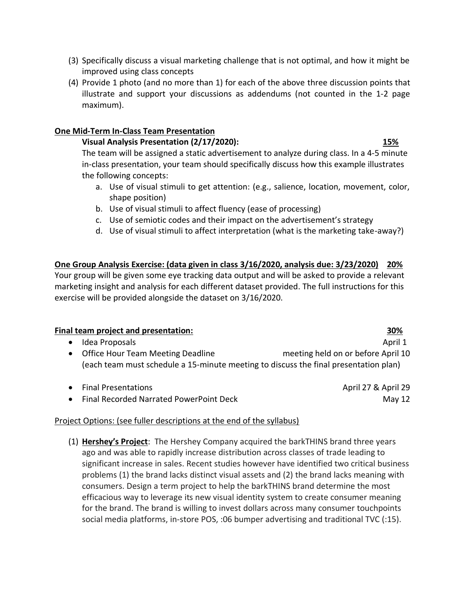- (3) Specifically discuss a visual marketing challenge that is not optimal, and how it might be improved using class concepts
- (4) Provide 1 photo (and no more than 1) for each of the above three discussion points that illustrate and support your discussions as addendums (not counted in the 1-2 page maximum).

## **One Mid-Term In-Class Team Presentation**

## **Visual Analysis Presentation (2/17/2020): 15%**

The team will be assigned a static advertisement to analyze during class. In a 4-5 minute in-class presentation, your team should specifically discuss how this example illustrates the following concepts:

- a. Use of visual stimuli to get attention: (e.g., salience, location, movement, color, shape position)
- b. Use of visual stimuli to affect fluency (ease of processing)
- c. Use of semiotic codes and their impact on the advertisement's strategy
- d. Use of visual stimuli to affect interpretation (what is the marketing take-away?)

# **One Group Analysis Exercise: (data given in class 3/16/2020, analysis due: 3/23/2020) 20%**

Your group will be given some eye tracking data output and will be asked to provide a relevant marketing insight and analysis for each different dataset provided. The full instructions for this exercise will be provided alongside the dataset on 3/16/2020.

### **Final team project and presentation: 30%**

## • Idea Proposals April 1 and the set of the set of the set of the set of the set of the set of the set of the set of the set of the set of the set of the set of the set of the set of the set of the set of the set of the se • Office Hour Team Meeting Deadline meeting held on or before April 10 (each team must schedule a 15-minute meeting to discuss the final presentation plan)

| • Final Presentations                     | April 27 & April 29 |
|-------------------------------------------|---------------------|
| • Final Recorded Narrated PowerPoint Deck | May 12              |

## Project Options: (see fuller descriptions at the end of the syllabus)

(1) **Hershey's Project**: The Hershey Company acquired the barkTHINS brand three years ago and was able to rapidly increase distribution across classes of trade leading to significant increase in sales. Recent studies however have identified two critical business problems (1) the brand lacks distinct visual assets and (2) the brand lacks meaning with consumers. Design a term project to help the barkTHINS brand determine the most efficacious way to leverage its new visual identity system to create consumer meaning for the brand. The brand is willing to invest dollars across many consumer touchpoints social media platforms, in-store POS, :06 bumper advertising and traditional TVC (:15).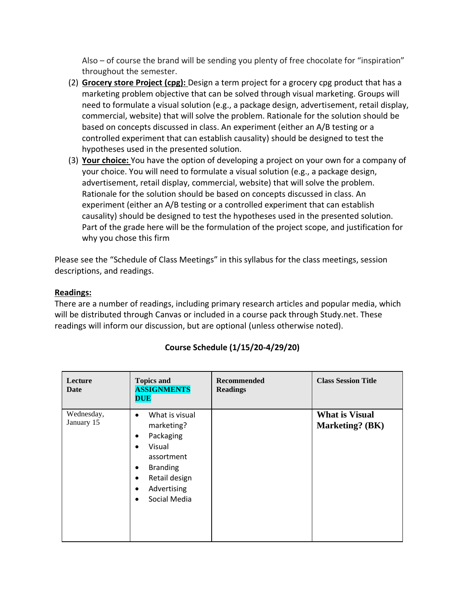Also – of course the brand will be sending you plenty of free chocolate for "inspiration" throughout the semester.

- (2) **Grocery store Project (cpg):** Design a term project for a grocery cpg product that has a marketing problem objective that can be solved through visual marketing. Groups will need to formulate a visual solution (e.g., a package design, advertisement, retail display, commercial, website) that will solve the problem. Rationale for the solution should be based on concepts discussed in class. An experiment (either an A/B testing or a controlled experiment that can establish causality) should be designed to test the hypotheses used in the presented solution.
- (3) **Your choice:** You have the option of developing a project on your own for a company of your choice. You will need to formulate a visual solution (e.g., a package design, advertisement, retail display, commercial, website) that will solve the problem. Rationale for the solution should be based on concepts discussed in class. An experiment (either an A/B testing or a controlled experiment that can establish causality) should be designed to test the hypotheses used in the presented solution. Part of the grade here will be the formulation of the project scope, and justification for why you chose this firm

Please see the "Schedule of Class Meetings" in this syllabus for the class meetings, session descriptions, and readings.

### **Readings:**

There are a number of readings, including primary research articles and popular media, which will be distributed through Canvas or included in a course pack through Study.net. These readings will inform our discussion, but are optional (unless otherwise noted).

| Lecture<br>Date          | <b>Topics and</b><br><b>ASSIGNMENTS</b><br><b>DUE</b>                                                                                                                                                                           | <b>Recommended</b><br><b>Readings</b> | <b>Class Session Title</b>               |
|--------------------------|---------------------------------------------------------------------------------------------------------------------------------------------------------------------------------------------------------------------------------|---------------------------------------|------------------------------------------|
| Wednesday,<br>January 15 | What is visual<br>$\bullet$<br>marketing?<br>Packaging<br>$\bullet$<br>Visual<br>$\bullet$<br>assortment<br><b>Branding</b><br>$\bullet$<br>Retail design<br>$\bullet$<br>Advertising<br>$\bullet$<br>Social Media<br>$\bullet$ |                                       | <b>What is Visual</b><br>Marketing? (BK) |

## **Course Schedule (1/15/20-4/29/20)**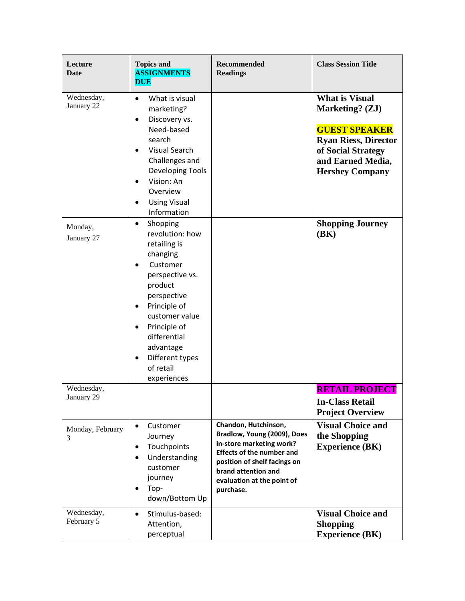| Lecture<br><b>Date</b>   | <b>Topics and</b><br><b>ASSIGNMENTS</b><br><b>DUE</b>                                                                                                                                                                                                                                                           | <b>Recommended</b><br><b>Readings</b>                                                                                                                                                                                 | <b>Class Session Title</b>                                                                                                                                           |
|--------------------------|-----------------------------------------------------------------------------------------------------------------------------------------------------------------------------------------------------------------------------------------------------------------------------------------------------------------|-----------------------------------------------------------------------------------------------------------------------------------------------------------------------------------------------------------------------|----------------------------------------------------------------------------------------------------------------------------------------------------------------------|
| Wednesday,<br>January 22 | What is visual<br>$\bullet$<br>marketing?<br>Discovery vs.<br>$\bullet$<br>Need-based<br>search<br><b>Visual Search</b><br>$\bullet$<br>Challenges and<br>Developing Tools<br>Vision: An<br>$\bullet$<br>Overview<br><b>Using Visual</b><br>$\bullet$<br>Information                                            |                                                                                                                                                                                                                       | <b>What is Visual</b><br>Marketing? (ZJ)<br><b>GUEST SPEAKER</b><br><b>Ryan Riess, Director</b><br>of Social Strategy<br>and Earned Media,<br><b>Hershey Company</b> |
| Monday,<br>January 27    | Shopping<br>$\bullet$<br>revolution: how<br>retailing is<br>changing<br>Customer<br>$\bullet$<br>perspective vs.<br>product<br>perspective<br>Principle of<br>$\bullet$<br>customer value<br>Principle of<br>$\bullet$<br>differential<br>advantage<br>Different types<br>$\bullet$<br>of retail<br>experiences |                                                                                                                                                                                                                       | <b>Shopping Journey</b><br>(BK)                                                                                                                                      |
| Wednesday,<br>January 29 |                                                                                                                                                                                                                                                                                                                 |                                                                                                                                                                                                                       | <b>RETAIL PROJECT</b><br><b>In-Class Retail</b><br><b>Project Overview</b>                                                                                           |
| Monday, February<br>3    | Customer<br>$\bullet$<br>Journey<br>Touchpoints<br>$\bullet$<br>Understanding<br>$\bullet$<br>customer<br>journey<br>Top-<br>$\bullet$<br>down/Bottom Up                                                                                                                                                        | Chandon, Hutchinson,<br>Bradlow, Young (2009), Does<br>in-store marketing work?<br><b>Effects of the number and</b><br>position of shelf facings on<br>brand attention and<br>evaluation at the point of<br>purchase. | <b>Visual Choice and</b><br>the Shopping<br><b>Experience (BK)</b>                                                                                                   |
| Wednesday,<br>February 5 | Stimulus-based:<br>$\bullet$<br>Attention,<br>perceptual                                                                                                                                                                                                                                                        |                                                                                                                                                                                                                       | <b>Visual Choice and</b><br><b>Shopping</b><br><b>Experience (BK)</b>                                                                                                |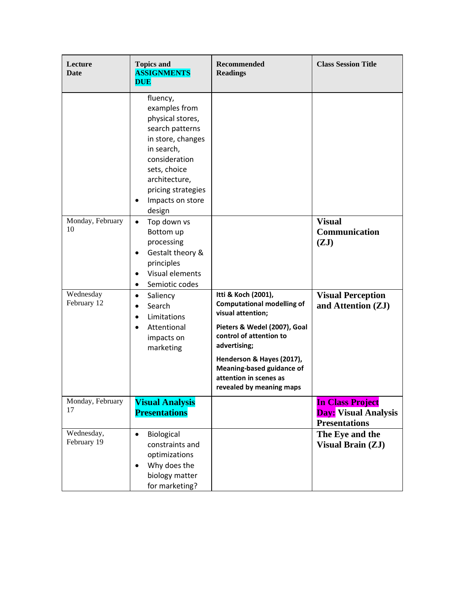| Lecture<br><b>Date</b>    | <b>Topics and</b><br><b>ASSIGNMENTS</b><br><b>DUE</b>                                                                                                                                                          | <b>Recommended</b><br><b>Readings</b>                                                                                                                                                                                                                                    | <b>Class Session Title</b>                                                     |
|---------------------------|----------------------------------------------------------------------------------------------------------------------------------------------------------------------------------------------------------------|--------------------------------------------------------------------------------------------------------------------------------------------------------------------------------------------------------------------------------------------------------------------------|--------------------------------------------------------------------------------|
|                           | fluency,<br>examples from<br>physical stores,<br>search patterns<br>in store, changes<br>in search,<br>consideration<br>sets, choice<br>architecture,<br>pricing strategies<br>Impacts on store<br>٠<br>design |                                                                                                                                                                                                                                                                          |                                                                                |
| Monday, February<br>10    | Top down vs<br>$\bullet$<br>Bottom up<br>processing<br>Gestalt theory &<br>$\bullet$<br>principles<br>Visual elements<br>$\bullet$<br>Semiotic codes<br>$\bullet$                                              |                                                                                                                                                                                                                                                                          | <b>Visual</b><br>Communication<br>(ZJ)                                         |
| Wednesday<br>February 12  | Saliency<br>$\bullet$<br>Search<br>$\bullet$<br>Limitations<br>$\bullet$<br>Attentional<br>$\bullet$<br>impacts on<br>marketing                                                                                | Itti & Koch (2001),<br><b>Computational modelling of</b><br>visual attention;<br>Pieters & Wedel (2007), Goal<br>control of attention to<br>advertising;<br>Henderson & Hayes (2017),<br>Meaning-based guidance of<br>attention in scenes as<br>revealed by meaning maps | <b>Visual Perception</b><br>and Attention (ZJ)                                 |
| Monday, February<br>17    | <b>Visual Analysis</b><br><b>Presentations</b>                                                                                                                                                                 |                                                                                                                                                                                                                                                                          | <b>In Class Project</b><br><b>Day:</b> Visual Analysis<br><b>Presentations</b> |
| Wednesday,<br>February 19 | Biological<br>$\bullet$<br>constraints and<br>optimizations<br>Why does the<br>$\bullet$<br>biology matter<br>for marketing?                                                                                   |                                                                                                                                                                                                                                                                          | The Eye and the<br><b>Visual Brain (ZJ)</b>                                    |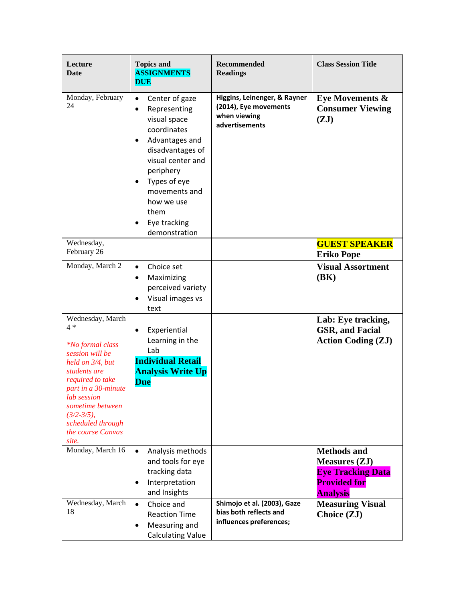| Lecture<br>Date                                                                                                                                                                                                                                                 | <b>Topics and</b><br><b>ASSIGNMENTS</b><br><b>DUE</b>                                                                                                                                                                                                                                  | <b>Recommended</b><br><b>Readings</b>                                                   | <b>Class Session Title</b>                                                                                       |
|-----------------------------------------------------------------------------------------------------------------------------------------------------------------------------------------------------------------------------------------------------------------|----------------------------------------------------------------------------------------------------------------------------------------------------------------------------------------------------------------------------------------------------------------------------------------|-----------------------------------------------------------------------------------------|------------------------------------------------------------------------------------------------------------------|
| Monday, February<br>24                                                                                                                                                                                                                                          | Center of gaze<br>$\bullet$<br>Representing<br>$\bullet$<br>visual space<br>coordinates<br>Advantages and<br>$\bullet$<br>disadvantages of<br>visual center and<br>periphery<br>Types of eye<br>$\bullet$<br>movements and<br>how we use<br>them<br>Eye tracking<br>٠<br>demonstration | Higgins, Leinenger, & Rayner<br>(2014), Eye movements<br>when viewing<br>advertisements | Eye Movements $\&$<br><b>Consumer Viewing</b><br>(ZJ)                                                            |
| Wednesday,<br>February 26                                                                                                                                                                                                                                       |                                                                                                                                                                                                                                                                                        |                                                                                         | <b>GUEST SPEAKER</b><br><b>Eriko Pope</b>                                                                        |
| Monday, March 2                                                                                                                                                                                                                                                 | Choice set<br>$\bullet$<br>Maximizing<br>$\bullet$<br>perceived variety<br>Visual images vs<br>$\bullet$<br>text                                                                                                                                                                       |                                                                                         | <b>Visual Assortment</b><br>(BK)                                                                                 |
| Wednesday, March<br>$4 *$<br><i>*No formal class</i><br>session will be<br>held on 3/4, but<br>students are<br>required to take<br>part in a 30-minute<br>lab session<br>sometime between<br>$(3/2 - 3/5)$ ,<br>scheduled through<br>the course Canvas<br>site. | Experiential<br>$\bullet$<br>Learning in the<br>Lab<br><b>Individual Retail</b><br><b>Analysis Write Up</b><br><b>Due</b>                                                                                                                                                              |                                                                                         | Lab: Eye tracking,<br><b>GSR, and Facial</b><br><b>Action Coding (ZJ)</b>                                        |
| Monday, March 16                                                                                                                                                                                                                                                | $\bullet$<br>Analysis methods<br>and tools for eye<br>tracking data<br>Interpretation<br>$\bullet$<br>and Insights                                                                                                                                                                     |                                                                                         | <b>Methods and</b><br><b>Measures (ZJ)</b><br><b>Eye Tracking Data</b><br><b>Provided for</b><br><b>Analysis</b> |
| Wednesday, March<br>18                                                                                                                                                                                                                                          | Choice and<br>$\bullet$<br><b>Reaction Time</b><br>Measuring and<br>$\bullet$<br><b>Calculating Value</b>                                                                                                                                                                              | Shimojo et al. (2003), Gaze<br>bias both reflects and<br>influences preferences;        | <b>Measuring Visual</b><br>Choice (ZJ)                                                                           |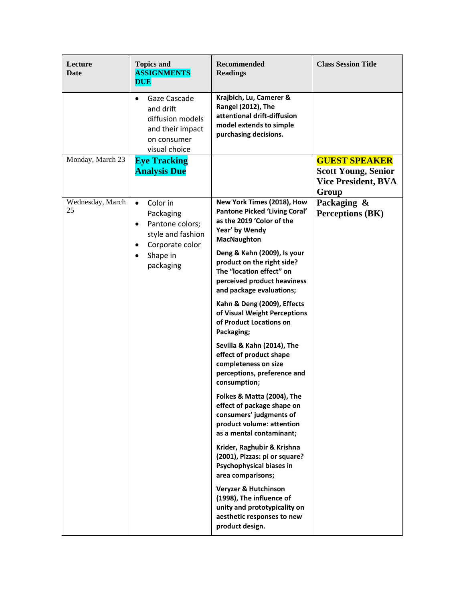| Lecture<br>Date        | <b>Topics and</b><br><b>ASSIGNMENTS</b><br><b>DUE</b>                                                                                                                                                                                                          | <b>Recommended</b><br><b>Readings</b>                                                                                                        | <b>Class Session Title</b>                                                                |
|------------------------|----------------------------------------------------------------------------------------------------------------------------------------------------------------------------------------------------------------------------------------------------------------|----------------------------------------------------------------------------------------------------------------------------------------------|-------------------------------------------------------------------------------------------|
|                        | Gaze Cascade<br>$\bullet$<br>and drift<br>diffusion models<br>and their impact<br>on consumer<br>visual choice                                                                                                                                                 | Krajbich, Lu, Camerer &<br>Rangel (2012), The<br>attentional drift-diffusion<br>model extends to simple<br>purchasing decisions.             |                                                                                           |
| Monday, March 23       | <b>Eye Tracking</b><br><b>Analysis Due</b>                                                                                                                                                                                                                     |                                                                                                                                              | <b>GUEST SPEAKER</b><br><b>Scott Young, Senior</b><br><b>Vice President, BVA</b><br>Group |
| Wednesday, March<br>25 | Color in<br>$\bullet$<br>Packaging<br>as the 2019 'Color of the<br>Pantone colors;<br>$\bullet$<br>Year' by Wendy<br>style and fashion<br><b>MacNaughton</b><br>Corporate color<br>$\bullet$<br>Shape in<br>$\bullet$<br>packaging<br>The "location effect" on | New York Times (2018), How<br><b>Pantone Picked 'Living Coral'</b>                                                                           | Packaging &<br><b>Perceptions (BK)</b>                                                    |
|                        |                                                                                                                                                                                                                                                                | Deng & Kahn (2009), Is your<br>product on the right side?<br>perceived product heaviness<br>and package evaluations;                         |                                                                                           |
|                        |                                                                                                                                                                                                                                                                | Kahn & Deng (2009), Effects<br>of Visual Weight Perceptions<br>of Product Locations on<br>Packaging;                                         |                                                                                           |
|                        |                                                                                                                                                                                                                                                                | Sevilla & Kahn (2014), The<br>effect of product shape<br>completeness on size<br>perceptions, preference and<br>consumption;                 |                                                                                           |
|                        |                                                                                                                                                                                                                                                                | Folkes & Matta (2004), The<br>effect of package shape on<br>consumers' judgments of<br>product volume: attention<br>as a mental contaminant; |                                                                                           |
|                        |                                                                                                                                                                                                                                                                | Krider, Raghubir & Krishna<br>(2001), Pizzas: pi or square?<br>Psychophysical biases in<br>area comparisons;                                 |                                                                                           |
|                        |                                                                                                                                                                                                                                                                | Veryzer & Hutchinson<br>(1998), The influence of<br>unity and prototypicality on<br>aesthetic responses to new<br>product design.            |                                                                                           |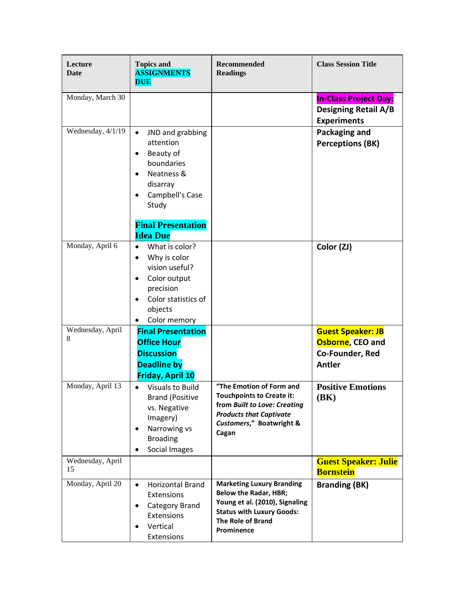| Lecture<br><b>Date</b> | <b>Topics and</b><br><b>ASSIGNMENTS</b><br><b>DUE</b>                                                                                                                                           | <b>Recommended</b><br><b>Readings</b>                                                                                                                                            | <b>Class Session Title</b>                                                        |
|------------------------|-------------------------------------------------------------------------------------------------------------------------------------------------------------------------------------------------|----------------------------------------------------------------------------------------------------------------------------------------------------------------------------------|-----------------------------------------------------------------------------------|
| Monday, March 30       |                                                                                                                                                                                                 |                                                                                                                                                                                  | <b>In-Class Project Day:</b><br><b>Designing Retail A/B</b><br><b>Experiments</b> |
| Wednesday, 4/1/19      | JND and grabbing<br>$\bullet$<br>attention<br>Beauty of<br>$\bullet$<br>boundaries<br>Neatness &<br>$\bullet$<br>disarray<br>Campbell's Case<br>$\bullet$<br>Study<br><b>Final Presentation</b> |                                                                                                                                                                                  | Packaging and<br><b>Perceptions (BK)</b>                                          |
|                        | <b>Idea Due</b>                                                                                                                                                                                 |                                                                                                                                                                                  |                                                                                   |
| Monday, April 6        | What is color?<br>$\bullet$<br>Why is color<br>$\bullet$<br>vision useful?<br>Color output<br>$\bullet$<br>precision<br>Color statistics of<br>$\bullet$<br>objects<br>Color memory             |                                                                                                                                                                                  | Color (ZJ)                                                                        |
| Wednesday, April<br>8  | <b>Final Presentation</b><br><b>Office Hour</b><br><b>Discussion</b><br><b>Deadline by</b><br><b>Friday, April 10</b>                                                                           |                                                                                                                                                                                  | <b>Guest Speaker: JB</b><br>Osborne, CEO and<br>Co-Founder, Red<br><b>Antler</b>  |
| Monday, April 13       | <b>Visuals to Build</b><br>$\bullet$<br><b>Brand (Positive</b><br>vs. Negative<br>Imagery)<br>Narrowing vs<br>$\bullet$<br><b>Broading</b><br>Social Images<br>$\bullet$                        | "The Emotion of Form and<br><b>Touchpoints to Create it:</b><br>from Built to Love: Creating<br><b>Products that Captivate</b><br>Customers," Boatwright &<br>Cagan              | <b>Positive Emotions</b><br><b>(BK)</b>                                           |
| Wednesday, April<br>15 |                                                                                                                                                                                                 |                                                                                                                                                                                  | <b>Guest Speaker: Julie</b><br><b>Bornstein</b>                                   |
| Monday, April 20       | Horizontal Brand<br>$\bullet$<br>Extensions<br>Category Brand<br>$\bullet$<br>Extensions<br>Vertical<br>$\bullet$<br>Extensions                                                                 | <b>Marketing Luxury Branding</b><br><b>Below the Radar, HBR;</b><br>Young et al. (2010), Signaling<br><b>Status with Luxury Goods:</b><br><b>The Role of Brand</b><br>Prominence | <b>Branding (BK)</b>                                                              |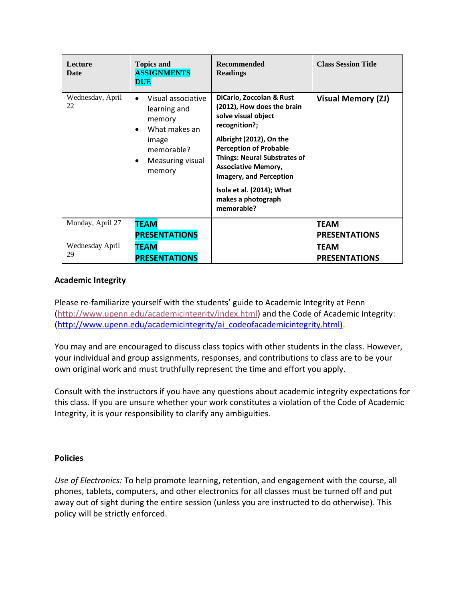| Lecture<br><b>Date</b> | <b>Topics and</b><br><b>ASSIGNMENTS</b><br><b>DUE</b>                                                                                                     | <b>Recommended</b><br><b>Readings</b>                                                                                                                                                                                                                                                                                              | <b>Class Session Title</b>          |
|------------------------|-----------------------------------------------------------------------------------------------------------------------------------------------------------|------------------------------------------------------------------------------------------------------------------------------------------------------------------------------------------------------------------------------------------------------------------------------------------------------------------------------------|-------------------------------------|
| Wednesday, April<br>22 | Visual associative<br>$\bullet$<br>learning and<br>memory<br>What makes an<br>$\bullet$<br>image<br>memorable?<br>Measuring visual<br>$\bullet$<br>memory | DiCarlo, Zoccolan & Rust<br>(2012), How does the brain<br>solve visual object<br>recognition?;<br>Albright (2012), On the<br><b>Perception of Probable</b><br><b>Things: Neural Substrates of</b><br><b>Associative Memory,</b><br><b>Imagery, and Perception</b><br>Isola et al. (2014); What<br>makes a photograph<br>memorable? | <b>Visual Memory (ZJ)</b>           |
| Monday, April 27       | <b>TEAM</b><br><b>PRESENTATIONS</b>                                                                                                                       |                                                                                                                                                                                                                                                                                                                                    | <b>TEAM</b><br><b>PRESENTATIONS</b> |
| Wednesday April<br>29  | <b>TEAM</b><br><b>PRESENTATIONS</b>                                                                                                                       |                                                                                                                                                                                                                                                                                                                                    | <b>TEAM</b><br><b>PRESENTATIONS</b> |

### **Academic Integrity**

Please re-familiarize yourself with the students' guide to Academic Integrity at Penn [\(http://www.upenn.edu/academicintegrity/index.html\)](http://www.upenn.edu/academicintegrity/index.html) and the Code of Academic Integrity: [\(http://www.upenn.edu/academicintegrity/ai\\_codeofacademicintegrity.html\).](http://www.upenn.edu/academicintegrity/ai_codeofacademicintegrity.html))

You may and are encouraged to discuss class topics with other students in the class. However, your individual and group assignments, responses, and contributions to class are to be your own original work and must truthfully represent the time and effort you apply.

Consult with the instructors if you have any questions about academic integrity expectations for this class. If you are unsure whether your work constitutes a violation of the Code of Academic Integrity, it is your responsibility to clarify any ambiguities.

#### **Policies**

*Use of Electronics:* To help promote learning, retention, and engagement with the course, all phones, tablets, computers, and other electronics for all classes must be turned off and put away out of sight during the entire session (unless you are instructed to do otherwise). This policy will be strictly enforced.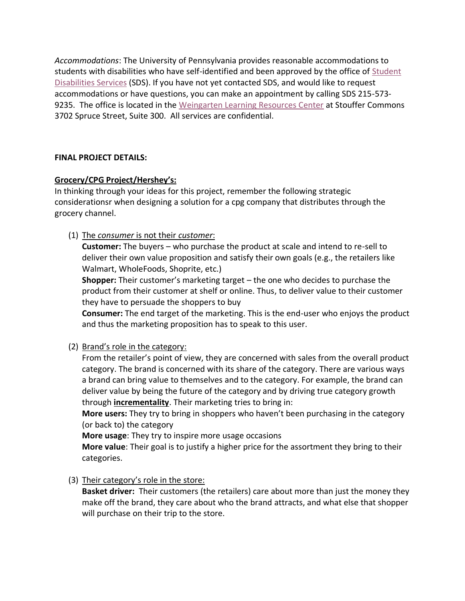*Accommodations*: The University of Pennsylvania provides reasonable accommodations to students with disabilities who have self-identified and been approved by the office of [Student](http://www.vpul.upenn.edu/lrc/sds/)  [Disabilities Services](http://www.vpul.upenn.edu/lrc/sds/) (SDS). If you have not yet contacted SDS, and would like to request accommodations or have questions, you can make an appointment by calling SDS 215-573- 9235. The office is located in the [Weingarten Learning Resources Center](http://www.vpul.upenn.edu/lrc/) at Stouffer Commons 3702 Spruce Street, Suite 300. All services are confidential.

### **FINAL PROJECT DETAILS:**

### **Grocery/CPG Project/Hershey's:**

In thinking through your ideas for this project, remember the following strategic considerationsr when designing a solution for a cpg company that distributes through the grocery channel.

(1) The *consumer* is not their *customer*:

**Customer:** The buyers – who purchase the product at scale and intend to re-sell to deliver their own value proposition and satisfy their own goals (e.g., the retailers like Walmart, WholeFoods, Shoprite, etc.)

**Shopper:** Their customer's marketing target – the one who decides to purchase the product from their customer at shelf or online. Thus, to deliver value to their customer they have to persuade the shoppers to buy

**Consumer:** The end target of the marketing. This is the end-user who enjoys the product and thus the marketing proposition has to speak to this user.

(2) Brand's role in the category:

From the retailer's point of view, they are concerned with sales from the overall product category. The brand is concerned with its share of the category. There are various ways a brand can bring value to themselves and to the category. For example, the brand can deliver value by being the future of the category and by driving true category growth through **incrementality**. Their marketing tries to bring in:

**More users:** They try to bring in shoppers who haven't been purchasing in the category (or back to) the category

**More usage**: They try to inspire more usage occasions

**More value**: Their goal is to justify a higher price for the assortment they bring to their categories.

(3) Their category's role in the store:

**Basket driver:** Their customers (the retailers) care about more than just the money they make off the brand, they care about who the brand attracts, and what else that shopper will purchase on their trip to the store.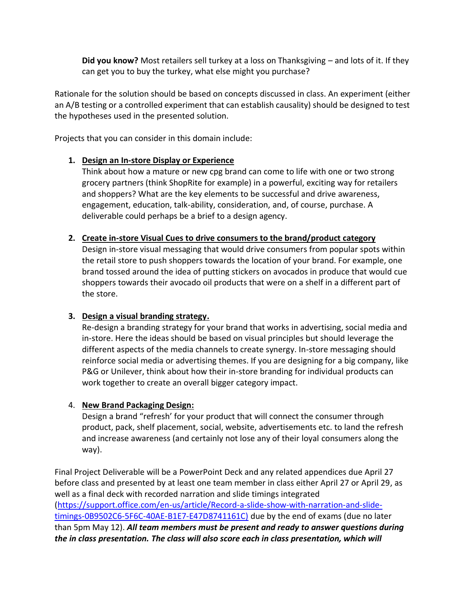**Did you know?** Most retailers sell turkey at a loss on Thanksgiving – and lots of it. If they can get you to buy the turkey, what else might you purchase?

Rationale for the solution should be based on concepts discussed in class. An experiment (either an A/B testing or a controlled experiment that can establish causality) should be designed to test the hypotheses used in the presented solution.

Projects that you can consider in this domain include:

### **1. Design an In-store Display or Experience**

Think about how a mature or new cpg brand can come to life with one or two strong grocery partners (think ShopRite for example) in a powerful, exciting way for retailers and shoppers? What are the key elements to be successful and drive awareness, engagement, education, talk-ability, consideration, and, of course, purchase. A deliverable could perhaps be a brief to a design agency.

#### **2. Create in-store Visual Cues to drive consumers to the brand/product category**

Design in-store visual messaging that would drive consumers from popular spots within the retail store to push shoppers towards the location of your brand. For example, one brand tossed around the idea of putting stickers on avocados in produce that would cue shoppers towards their avocado oil products that were on a shelf in a different part of the store.

### **3. Design a visual branding strategy.**

Re-design a branding strategy for your brand that works in advertising, social media and in-store. Here the ideas should be based on visual principles but should leverage the different aspects of the media channels to create synergy. In-store messaging should reinforce social media or advertising themes. If you are designing for a big company, like P&G or Unilever, think about how their in-store branding for individual products can work together to create an overall bigger category impact.

### 4. **New Brand Packaging Design:**

Design a brand "refresh' for your product that will connect the consumer through product, pack, shelf placement, social, website, advertisements etc. to land the refresh and increase awareness (and certainly not lose any of their loyal consumers along the way).

Final Project Deliverable will be a PowerPoint Deck and any related appendices due April 27 before class and presented by at least one team member in class either April 27 or April 29, as well as a final deck with recorded narration and slide timings integrated [\(https://support.office.com/en-us/article/Record-a-slide-show-with-narration-and-slide](https://support.office.com/en-us/article/Record-a-slide-show-with-narration-and-slide-timings-0B9502C6-5F6C-40AE-B1E7-E47D8741161C))[timings-0B9502C6-5F6C-40AE-B1E7-E47D8741161C\)](https://support.office.com/en-us/article/Record-a-slide-show-with-narration-and-slide-timings-0B9502C6-5F6C-40AE-B1E7-E47D8741161C)) due by the end of exams (due no later than 5pm May 12). *All team members must be present and ready to answer questions during the in class presentation. The class will also score each in class presentation, which will*